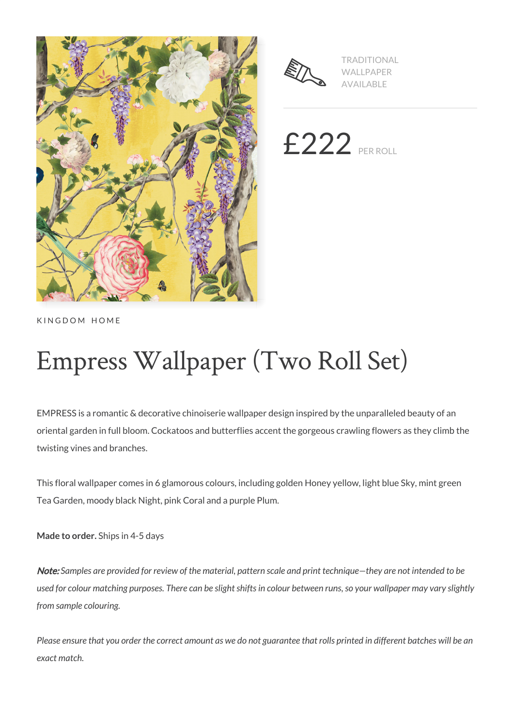



TRADITIONAL WALLPAPER AVAILABLE

 $£222$  PER ROLL

KINGDOM HOME

# Empress Wallpaper (Two Roll Set)

EMPRESS is a romantic & decorative chinoiserie wallpaper design inspired by the unparalleled beauty of an oriental garden in full bloom. Cockatoos and butterflies accent the gorgeous crawling flowers as they climb the twisting vines and branches.

This floral wallpaper comes in 6 glamorous colours, including golden Honey yellow, light blue Sky, mint green Tea Garden, moody black Night, pink Coral and a purple Plum.

**Made to order.** Ships in 4-5 days

Note: *Samples are provided for review of the material, pattern scale and print technique—they are not intended to be used for colour matching purposes. There can be slight shifts in colour between runs, so your wallpaper may vary slightly from sample colouring.*

*Please ensure that you order the correct amount as we do not guarantee that rolls printed in different batches will be an exact match.*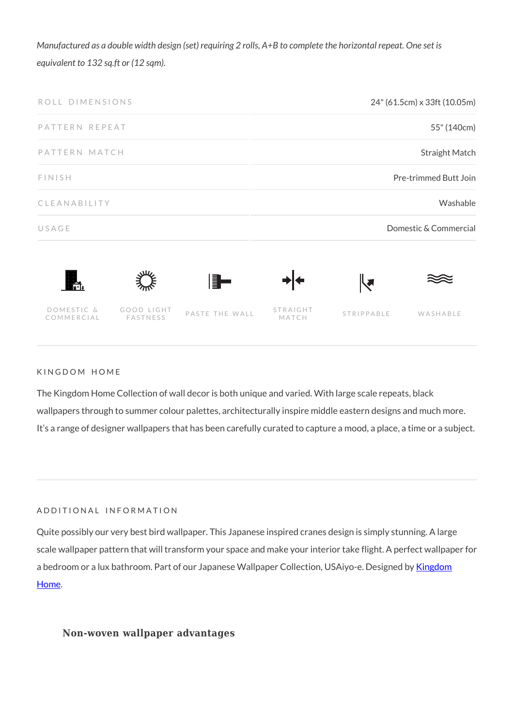*Manufactured as a double width design (set) requiring 2 rolls, A+B to complete the horizontal repeat. One set is equivalent to 132 sq.ft or (12 sqm).*



### KINGDOM HOME

The Kingdom Home Collection of wall decor is both unique and varied. With large scale repeats, black wallpapers through to summer colour palettes, architecturally inspire middle eastern designs and much more. It's a range of designer wallpapers that has been carefully curated to capture a mood, a place, a time or a subject.

### ADDITIONAL INFORMATION

Quite possibly our very best bird wallpaper. This Japanese inspired cranes design is simply stunning. A large scale wallpaper pattern that will transform your space and make your interior take flight. A perfect wallpaper for a bedroom or a lux bathroom. Part of our Japanese Wallpaper Collection, USAiyo-e. Designed by [Kingdom](https://www.miltonandking.com/USA/brand/kingdom-home/) [Home](https://www.miltonandking.com/USA/brand/kingdom-home/).

### **Non-woven wallpaper advantages**